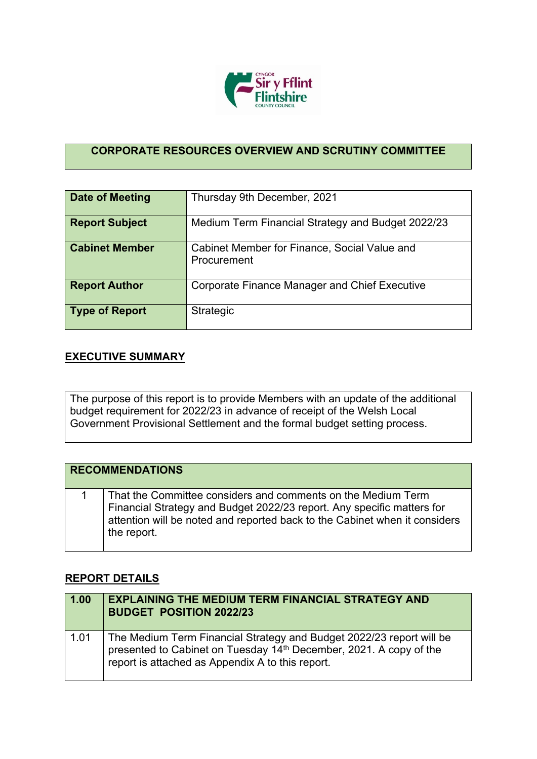

## **CORPORATE RESOURCES OVERVIEW AND SCRUTINY COMMITTEE**

| Date of Meeting       | Thursday 9th December, 2021                                 |
|-----------------------|-------------------------------------------------------------|
| <b>Report Subject</b> | Medium Term Financial Strategy and Budget 2022/23           |
| <b>Cabinet Member</b> | Cabinet Member for Finance, Social Value and<br>Procurement |
| <b>Report Author</b>  | <b>Corporate Finance Manager and Chief Executive</b>        |
| Type of Report        | Strategic                                                   |

## **EXECUTIVE SUMMARY**

The purpose of this report is to provide Members with an update of the additional budget requirement for 2022/23 in advance of receipt of the Welsh Local Government Provisional Settlement and the formal budget setting process.

| <b>RECOMMENDATIONS</b> |                                                                                                                                                                                                                                     |  |
|------------------------|-------------------------------------------------------------------------------------------------------------------------------------------------------------------------------------------------------------------------------------|--|
|                        | That the Committee considers and comments on the Medium Term<br>Financial Strategy and Budget 2022/23 report. Any specific matters for<br>attention will be noted and reported back to the Cabinet when it considers<br>the report. |  |

## **REPORT DETAILS**

| 1.00 | <b>EXPLAINING THE MEDIUM TERM FINANCIAL STRATEGY AND</b><br><b>BUDGET POSITION 2022/23</b>                                                                                                     |
|------|------------------------------------------------------------------------------------------------------------------------------------------------------------------------------------------------|
| 1.01 | The Medium Term Financial Strategy and Budget 2022/23 report will be<br>presented to Cabinet on Tuesday 14th December, 2021. A copy of the<br>report is attached as Appendix A to this report. |